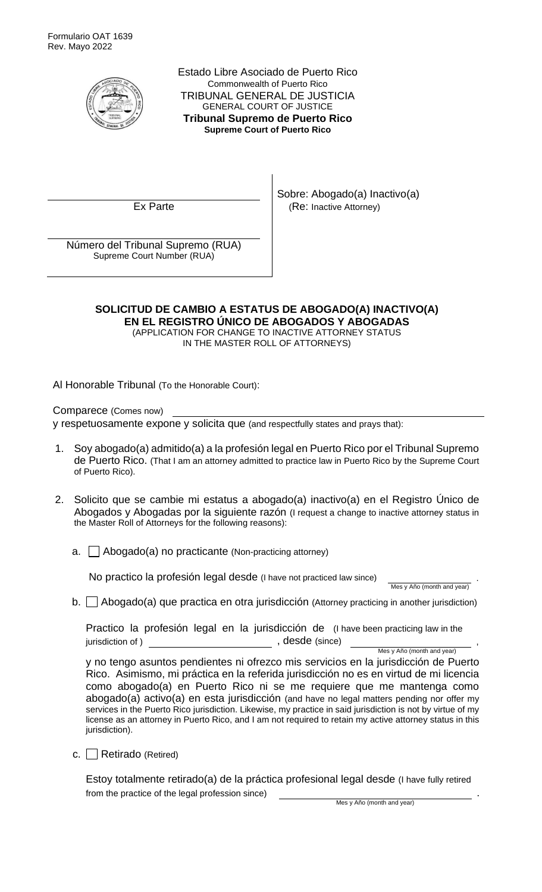

Estado Libre Asociado de Puerto Rico Commonwealth of Puerto Rico TRIBUNAL GENERAL DE JUSTICIA GENERAL COURT OF JUSTICE **Tribunal Supremo de Puerto Rico Supreme Court of Puerto Rico**

Sobre: Abogado(a) Inactivo(a) Ex Parte  $\vert$  (Re: Inactive Attorney)

Número del Tribunal Supremo (RUA) Supreme Court Number (RUA)

## **SOLICITUD DE CAMBIO A ESTATUS DE ABOGADO(A) INACTIVO(A) EN EL REGISTRO ÚNICO DE ABOGADOS Y ABOGADAS**

(APPLICATION FOR CHANGE TO INACTIVE ATTORNEY STATUS IN THE MASTER ROLL OF ATTORNEYS)

Al Honorable Tribunal (To the Honorable Court):

Comparece (Comes now) y respetuosamente expone y solicita que (and respectfully states and prays that):

- Soy abogado(a) admitido(a) a la profesión legal en Puerto Rico por el Tribunal Supremo de Puerto Rico. (That I am an attorney admitted to practice law in Puerto Rico by the Supreme Court of Puerto Rico).
- 2. Solicito que se cambie mi estatus a abogado(a) inactivo(a) en el Registro Único de Abogados y Abogadas por la siguiente razón (I request a change to inactive attorney status in the Master Roll of Attorneys for the following reasons):
	- a.  $\Box$  Abogado(a) no practicante (Non-practicing attorney)

No practico la profesión legal desde (I have not practiced law since) .

Mes y Año (month and year)

b.  $\Box$  Abogado(a) que practica en otra jurisdicción (Attorney practicing in another jurisdiction)

Practico la profesión legal en la jurisdicción de (I have been practicing law in the jurisdiction of ) and in the set of  $\alpha$  , desde (since)

Mes y Año (month and year)

y no tengo asuntos pendientes ni ofrezco mis servicios en la jurisdicción de Puerto Rico. Asimismo, mi práctica en la referida jurisdicción no es en virtud de mi licencia como abogado(a) en Puerto Rico ni se me requiere que me mantenga como abogado(a) activo(a) en esta jurisdicción (and have no legal matters pending nor offer my services in the Puerto Rico jurisdiction. Likewise, my practice in said jurisdiction is not by virtue of my license as an attorney in Puerto Rico, and I am not required to retain my active attorney status in this jurisdiction).

c. Retirado (Retired)

Estoy totalmente retirado(a) de la práctica profesional legal desde (I have fully retired from the practice of the legal profession since).

Mes y Año (month and year)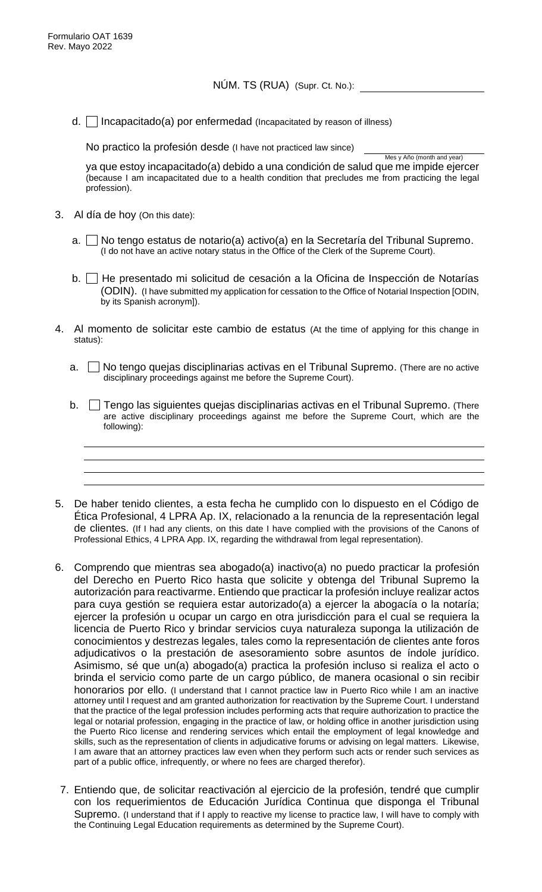d.  $\Box$  Incapacitado(a) por enfermedad (Incapacitated by reason of illness)

No practico la profesión desde (I have not practiced law since)

Mes y Año (month and year) ya que estoy incapacitado(a) debido a una condición de salud que me impide ejercer (because I am incapacitated due to a health condition that precludes me from practicing the legal profession).

- 3. Al día de hoy (On this date):
	- a.  $\vert \vert$  No tengo estatus de notario(a) activo(a) en la Secretaría del Tribunal Supremo. (I do not have an active notary status in the Office of the Clerk of the Supreme Court).
	- b. He presentado mi solicitud de cesación a la Oficina de Inspección de Notarías (ODIN). (I have submitted my application for cessation to the Office of Notarial Inspection [ODIN, by its Spanish acronym]).
- 4. Al momento de solicitar este cambio de estatus (At the time of applying for this change in status):
	- a.  $\Box$  No tengo quejas disciplinarias activas en el Tribunal Supremo. (There are no active disciplinary proceedings against me before the Supreme Court).
	- $b.$  Tengo las siguientes quejas disciplinarias activas en el Tribunal Supremo. (There are active disciplinary proceedings against me before the Supreme Court, which are the following):
- 5. De haber tenido clientes, a esta fecha he cumplido con lo dispuesto en el Código de Ética Profesional, 4 LPRA Ap. IX, relacionado a la renuncia de la representación legal de clientes. (If I had any clients, on this date I have complied with the provisions of the Canons of Professional Ethics, 4 LPRA App. IX, regarding the withdrawal from legal representation).
- 6. Comprendo que mientras sea abogado(a) inactivo(a) no puedo practicar la profesión del Derecho en Puerto Rico hasta que solicite y obtenga del Tribunal Supremo la autorización para reactivarme. Entiendo que practicar la profesión incluye realizar actos para cuya gestión se requiera estar autorizado(a) a ejercer la abogacía o la notaría; ejercer la profesión u ocupar un cargo en otra jurisdicción para el cual se requiera la licencia de Puerto Rico y brindar servicios cuya naturaleza suponga la utilización de conocimientos y destrezas legales, tales como la representación de clientes ante foros adjudicativos o la prestación de asesoramiento sobre asuntos de índole jurídico. Asimismo, sé que un(a) abogado(a) practica la profesión incluso si realiza el acto o brinda el servicio como parte de un cargo público, de manera ocasional o sin recibir honorarios por ello. (I understand that I cannot practice law in Puerto Rico while I am an inactive attorney until I request and am granted authorization for reactivation by the Supreme Court. I understand that the practice of the legal profession includes performing acts that require authorization to practice the legal or notarial profession, engaging in the practice of law, or holding office in another jurisdiction using the Puerto Rico license and rendering services which entail the employment of legal knowledge and skills, such as the representation of clients in adjudicative forums or advising on legal matters. Likewise, I am aware that an attorney practices law even when they perform such acts or render such services as part of a public office, infrequently, or where no fees are charged therefor).
	- 7. Entiendo que, de solicitar reactivación al ejercicio de la profesión, tendré que cumplir con los requerimientos de Educación Jurídica Continua que disponga el Tribunal Supremo. (I understand that if I apply to reactive my license to practice law, I will have to comply with the Continuing Legal Education requirements as determined by the Supreme Court).